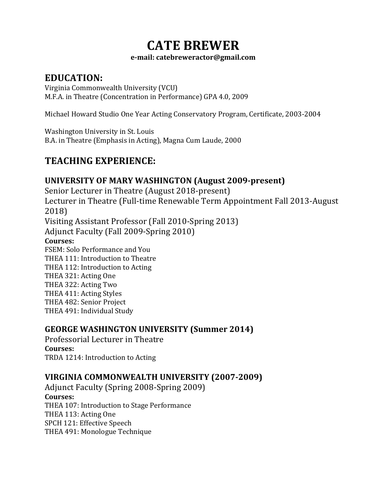# **CATE BREWER**

#### **e-mail: catebreweractor@gmail.com**

## **EDUCATION:**

Virginia Commonwealth University (VCU) M.F.A. in Theatre (Concentration in Performance) GPA 4.0, 2009

Michael Howard Studio One Year Acting Conservatory Program, Certificate, 2003-2004

Washington University in St. Louis B.A. in Theatre (Emphasis in Acting), Magna Cum Laude, 2000

## **TEACHING EXPERIENCE:**

### **UNIVERSITY OF MARY WASHINGTON (August 2009-present)** Senior Lecturer in Theatre (August 2018-present) Lecturer in Theatre (Full-time Renewable Term Appointment Fall 2013-August 2018)

Visiting Assistant Professor (Fall 2010-Spring 2013)

Adjunct Faculty (Fall 2009-Spring 2010)

### **Courses:**

FSEM: Solo Performance and You THEA 111: Introduction to Theatre THEA 112: Introduction to Acting THEA 321: Acting One THEA 322: Acting Two THEA 411: Acting Styles THEA 482: Senior Project THEA 491: Individual Study

## **GEORGE WASHINGTON UNIVERSITY (Summer 2014)**

Professorial Lecturer in Theatre **Courses:** TRDA 1214: Introduction to Acting

### **VIRGINIA COMMONWEALTH UNIVERSITY (2007-2009)**

Adjunct Faculty (Spring 2008-Spring 2009) **Courses:**  THEA 107: Introduction to Stage Performance THEA 113: Acting One SPCH 121: Effective Speech THEA 491: Monologue Technique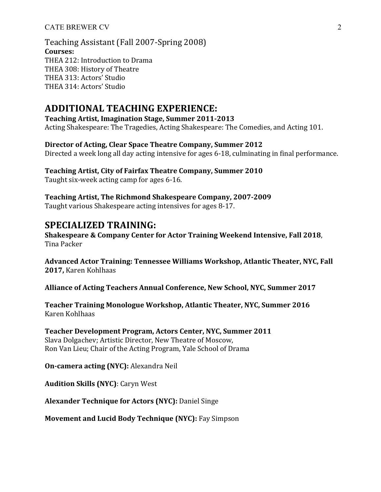Teaching Assistant (Fall 2007-Spring 2008) **Courses:**  THEA 212: Introduction to Drama THEA 308: History of Theatre THEA 313: Actors' Studio THEA 314: Actors' Studio

### **ADDITIONAL TEACHING EXPERIENCE:**

**Teaching Artist, Imagination Stage, Summer 2011-2013**

Acting Shakespeare: The Tragedies, Acting Shakespeare: The Comedies, and Acting 101.

#### **Director of Acting, Clear Space Theatre Company, Summer 2012**

Directed a week long all day acting intensive for ages 6-18, culminating in final performance.

## Teaching Artist, City of Fairfax Theatre Company, Summer 2010

Taught six-week acting camp for ages 6-16.

Teaching Artist, The Richmond Shakespeare Company, 2007-2009 Taught various Shakespeare acting intensives for ages 8-17.

### **SPECIALIZED TRAINING:**

Shakespeare & Company Center for Actor Training Weekend Intensive, Fall 2018, Tina Packer

Advanced Actor Training: Tennessee Williams Workshop, Atlantic Theater, NYC, Fall 2017, Karen Kohlhaas

Alliance of Acting Teachers Annual Conference, New School, NYC, Summer 2017

**Teacher Training Monologue Workshop, Atlantic Theater, NYC, Summer 2016** Karen Kohlhaas

Teacher Development Program, Actors Center, NYC, Summer 2011 Slava Dolgachev; Artistic Director, New Theatre of Moscow, Ron Van Lieu; Chair of the Acting Program, Yale School of Drama

**On-camera acting (NYC):** Alexandra Neil

**Audition Skills (NYC)**: Caryn West

**Alexander Technique for Actors (NYC):** Daniel Singe

**Movement and Lucid Body Technique (NYC):** Fay Simpson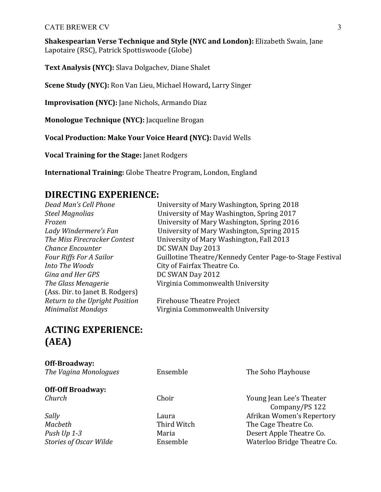**Shakespearian Verse Technique and Style (NYC and London):** Elizabeth Swain, Jane Lapotaire (RSC), Patrick Spottiswoode (Globe)

**Text Analysis (NYC):** Slava Dolgachev, Diane Shalet

**Scene Study (NYC):** Ron Van Lieu, Michael Howard, Larry Singer

**Improvisation (NYC):** Jane Nichols, Armando Diaz

**Monologue Technique (NYC):** Jacqueline Brogan

**Vocal Production: Make Your Voice Heard (NYC):** David Wells

**Vocal Training for the Stage:** Janet Rodgers

**International Training:** Globe Theatre Program, London, England

### **DIRECTING EXPERIENCE:**

*Dead Man's Cell Phone University of Mary Washington, Spring 2018 Chance Encounter DC SWAN Day 2013 Into The Woods* City of Fairfax Theatre Co. *Gina and Her GPS* DC SWAN Day 2012 (Ass. Dir. to Janet B. Rodgers) *Return to the Upright Position* Firehouse Theatre Project

*Steel Magnolias*  University of May Washington, Spring 2017 *Frozen* **Iniversity of Mary Washington, Spring 2016** *Lady Windermere's Fan* University of Mary Washington, Spring 2015 *The Miss Firecracker Contest University of Mary Washington, Fall 2013 Four Riffs For A Sailor* **Guillotine Theatre/Kennedy Center Page-to-Stage Festival** *The Glass Menagerie* **Virginia Commonwealth University** 

*Minimalist Mondays* **Virginia Commonwealth University** 

## **ACTING EXPERIENCE: (AEA)**

| <b>Off-Broadway:</b>          |             |                             |
|-------------------------------|-------------|-----------------------------|
| The Vagina Monologues         | Ensemble    | The Soho Playhouse          |
| <b>Off-Off Broadway:</b>      |             |                             |
| Church                        | Choir       | Young Jean Lee's Theater    |
|                               |             | Company/PS 122              |
| Sally                         | Laura       | Afrikan Women's Repertory   |
| Macbeth                       | Third Witch | The Cage Theatre Co.        |
| Push Up 1-3                   | Maria       | Desert Apple Theatre Co.    |
| <b>Stories of Oscar Wilde</b> | Ensemble    | Waterloo Bridge Theatre Co. |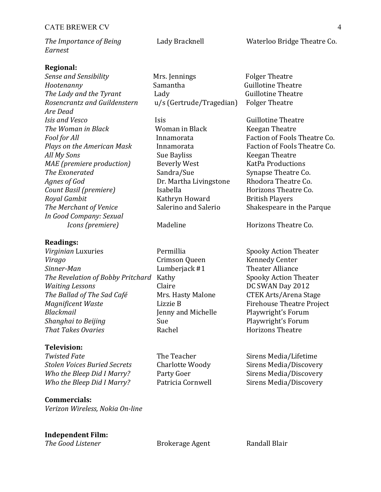| The Importance of Being | Lady Bracknell | Waterloo Bridge Theatre Co. |
|-------------------------|----------------|-----------------------------|
| Earnest                 |                |                             |

#### **Regional:**

*Hootenanny* SamanthaGuillotine Theatre *The Lady and the Tyrant*  LadyGuillotine Theatre *Rosencrantz and Guildenstern* u/s (Gertrude/Tragedian) Folger Theatre *Are Dead Isis and Vesco* Isis Guillotine Theatre *The Woman in Black* Woman in Black Keegan Theatre *Fool for All* Innamorata Faction of Fools Theatre Co. *Plays on the American Mask*  Innamorata Faction of Fools Theatre Co. *All My Sons* Sue Bayliss Keegan Theatre *MAE* (*premiere production*) Beverly West KatPa Productions **The Exonerated** Sandra/Sue Synapse Theatre Co. *Agnes of God* Dr. Martha Livingstone Rhodora Theatre Co. *Count Basil (premiere)* Isabella Horizons Theatre Co. **Royal Gambit** Kathryn Howard British Players *The Merchant of Venice* Salerino and Salerio Shakespeare in the Parque *In Good Company: Sexual*

#### **Readings:**

*Virginian* Luxuries **Permillia** Spooky Action Theater *Virago* Crimson Queen Kennedy Center *Sinner-Man* **Example 2** Lumberjack #1 Theater Alliance *The Revelation of Bobby Pritchard* Kathy Spooky Action Theater *Waiting Lessons* Claire Claire DC SWAN Day 2012 *The Ballad of The Sad Café* Mrs. Hasty Malone CTEK Arts/Arena Stage *Magnificent Waste* **Example 2** Lizzie B **Firehouse** Theatre Project *Blackmail* **Investigate** Jenny and Michelle **Playwright's** Forum *Shanghai* to *Beijing* Sue Sue Playwright's Forum *That Takes Ovaries* **Rachel Horizons** Theatre

#### **Television:**

**Twisted Fate** The Teacher Sirens Media/Lifetime **Stolen Voices Buried Secrets** Charlotte Woody Sirens Media/Discovery *Who the Bleep Did I Marry?* Party Goer Sirens Media/Discovery Who the Bleep Did I Marry? Patricia Cornwell Sirens Media/Discovery

**Commercials:** *Verizon Wireless, Nokia On-line*

#### **Independent Film:**

**The Good Listener Brokerage Agent** Randall Blair

*Sense and Sensibility* Mrs. Jennings Folger Theatre 

*Icons* (*premiere*) Madeline Horizons Theatre Co.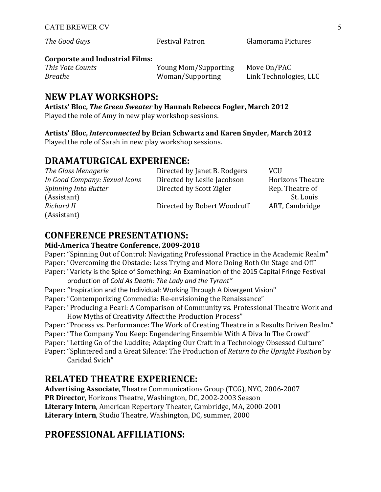*The Good Guys* Festival Patron Glamorama Pictures

### **Corporate and Industrial Films:**

| This Vote Counts | Young Mom/Supporting | Move On/PAC            |
|------------------|----------------------|------------------------|
| Breathe          | Woman/Supporting     | Link Technologies, LLC |

## **NEW PLAY WORKSHOPS:**

**Artists' Bloc,** *The Green Sweater* **by Hannah Rebecca Fogler, March 2012** Played the role of Amy in new play workshop sessions.

### **Artists' Bloc,** *Interconnected* **by Brian Schwartz and Karen Snyder, March 2012**

Played the role of Sarah in new play workshop sessions.

## **DRAMATURGICAL EXPERIENCE:**

| The Glass Menagerie           | Directed by Janet B. Rodgers | <b>VCU</b>              |
|-------------------------------|------------------------------|-------------------------|
| In Good Company: Sexual Icons | Directed by Leslie Jacobson  | <b>Horizons Theatre</b> |
| Spinning Into Butter          | Directed by Scott Zigler     | Rep. Theatre of         |
| (Assistant)                   |                              | St. Louis               |
| Richard II                    | Directed by Robert Woodruff  | ART, Cambridge          |
| (Assistant)                   |                              |                         |

## **CONFERENCE PRESENTATIONS:**

### **Mid-America Theatre Conference, 2009-2018**

Paper: "Spinning Out of Control: Navigating Professional Practice in the Academic Realm" Paper: "Overcoming the Obstacle: Less Trying and More Doing Both On Stage and Off" Paper: "Variety is the Spice of Something: An Examination of the 2015 Capital Fringe Festival

- production of *Cold As Death: The Lady and the Tyrant"*
- Paper: "Inspiration and the Individual: Working Through A Divergent Vision"
- Paper: "Contemporizing Commedia: Re-envisioning the Renaissance"
- Paper: "Producing a Pearl: A Comparison of Community vs. Professional Theatre Work and How Myths of Creativity Affect the Production Process"
- Paper: "Process vs. Performance: The Work of Creating Theatre in a Results Driven Realm."
- Paper: "The Company You Keep: Engendering Ensemble With A Diva In The Crowd"
- Paper: "Letting Go of the Luddite; Adapting Our Craft in a Technology Obsessed Culture"
- Paper: "Splintered and a Great Silence: The Production of *Return to the Upright Position* by Caridad Svich"

## **RELATED THEATRE EXPERIENCE:**

**Advertising Associate**, Theatre Communications Group (TCG), NYC, 2006-2007 **PR Director, Horizons Theatre, Washington, DC, 2002-2003 Season** Literary Intern, American Repertory Theater, Cambridge, MA, 2000-2001 **Literary Intern**, Studio Theatre, Washington, DC, summer, 2000

## **PROFESSIONAL AFFILIATIONS:**